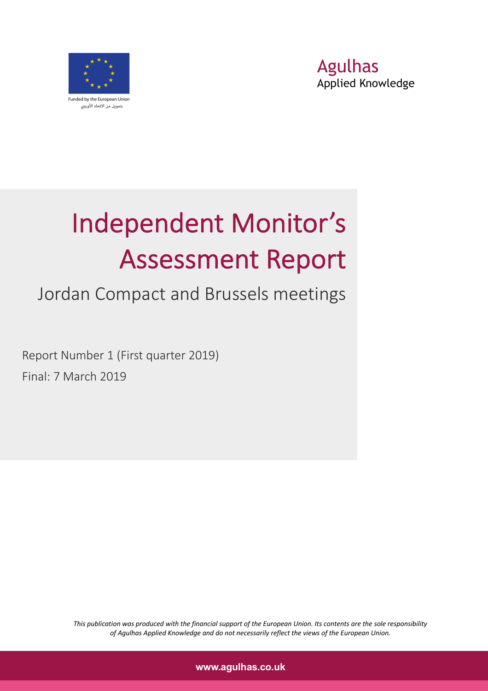



# Independent Monitor's Assessment Report

## Jordan Compact and Brussels meetings

Report Number 1 (First quarter 2019) Final: 7 March 2019

> *This publication was produced with the financial support of the European Union. Its contents are the sole responsibility of Agulhas Applied Knowledge and do not necessarily reflect the views of the European Union.*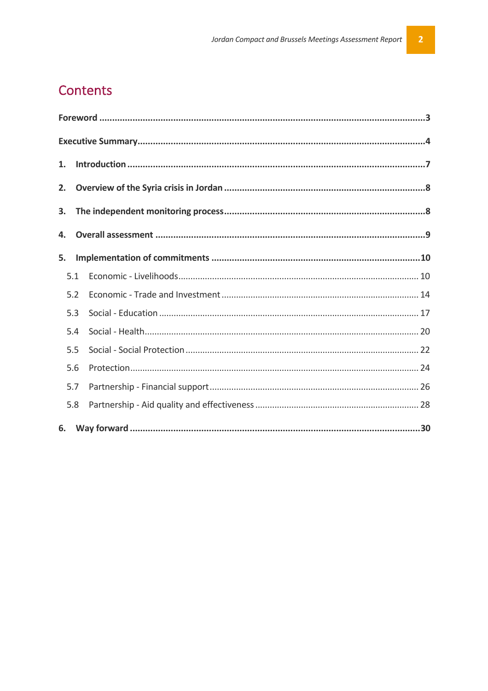## Contents

| 1.  |  |
|-----|--|
| 2.  |  |
| 3.  |  |
| 4.  |  |
| 5.  |  |
| 5.1 |  |
| 5.2 |  |
| 5.3 |  |
| 5.4 |  |
| 5.5 |  |
| 5.6 |  |
| 5.7 |  |
| 5.8 |  |
| 6.  |  |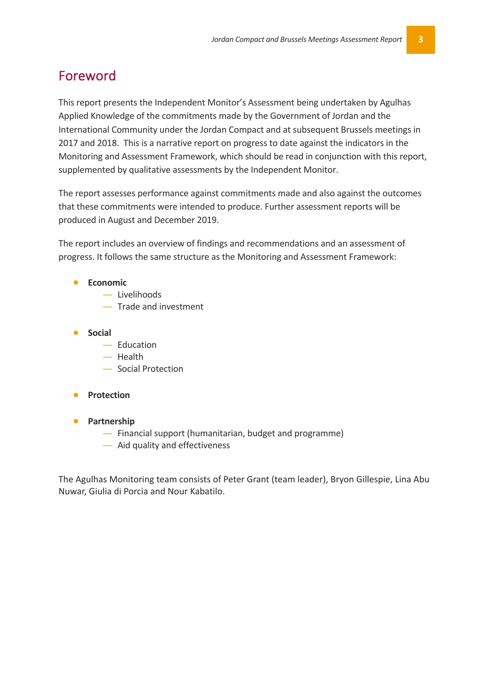## Foreword

This report presents the Independent Monitor's Assessment being undertaken by Agulhas Applied Knowledge of the commitments made by the Government of Jordan and the International Community under the Jordan Compact and at subsequent Brussels meetings in 2017 and 2018. This is a narrative report on progress to date against the indicators in the Monitoring and Assessment Framework, which should be read in conjunction with this report, supplemented by qualitative assessments by the Independent Monitor.

The report assesses performance against commitments made and also against the outcomes that these commitments were intended to produce. Further assessment reports will be produced in August and December 2019.

The report includes an overview of findings and recommendations and an assessment of progress. It follows the same structure as the Monitoring and Assessment Framework:

#### • **Economic**

- ― Livelihoods
- ― Trade and investment
- **Social**
	- ― Education
	- ― Health
	- ― Social Protection
- **Protection**
- **Partnership**
	- ― Financial support (humanitarian, budget and programme)
	- ― Aid quality and effectiveness

The Agulhas Monitoring team consists of Peter Grant (team leader), Bryon Gillespie, Lina Abu Nuwar, Giulia di Porcia and Nour Kabatilo.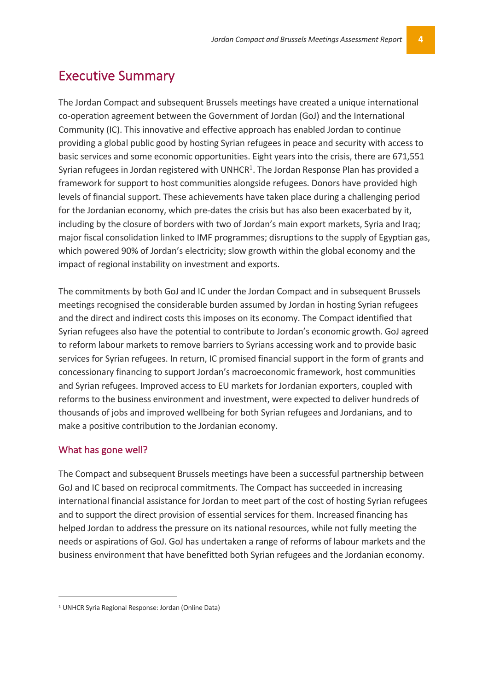## Executive Summary

The Jordan Compact and subsequent Brussels meetings have created a unique international co-operation agreement between the Government of Jordan (GoJ) and the International Community (IC). This innovative and effective approach has enabled Jordan to continue providing a global public good by hosting Syrian refugees in peace and security with access to basic services and some economic opportunities. Eight years into the crisis, there are 671,551 Syrian refugees in Jordan registered with UNHCR $1$ . The Jordan Response Plan has provided a framework for support to host communities alongside refugees. Donors have provided high levels of financial support. These achievements have taken place during a challenging period for the Jordanian economy, which pre-dates the crisis but has also been exacerbated by it, including by the closure of borders with two of Jordan's main export markets, Syria and Iraq; major fiscal consolidation linked to IMF programmes; disruptions to the supply of Egyptian gas, which powered 90% of Jordan's electricity; slow growth within the global economy and the impact of regional instability on investment and exports.

The commitments by both GoJ and IC under the Jordan Compact and in subsequent Brussels meetings recognised the considerable burden assumed by Jordan in hosting Syrian refugees and the direct and indirect costs this imposes on its economy. The Compact identified that Syrian refugees also have the potential to contribute to Jordan's economic growth. GoJ agreed to reform labour markets to remove barriers to Syrians accessing work and to provide basic services for Syrian refugees. In return, IC promised financial support in the form of grants and concessionary financing to support Jordan's macroeconomic framework, host communities and Syrian refugees. Improved access to EU markets for Jordanian exporters, coupled with reforms to the business environment and investment, were expected to deliver hundreds of thousands of jobs and improved wellbeing for both Syrian refugees and Jordanians, and to make a positive contribution to the Jordanian economy.

#### What has gone well?

The Compact and subsequent Brussels meetings have been a successful partnership between GoJ and IC based on reciprocal commitments. The Compact has succeeded in increasing international financial assistance for Jordan to meet part of the cost of hosting Syrian refugees and to support the direct provision of essential services for them. Increased financing has helped Jordan to address the pressure on its national resources, while not fully meeting the needs or aspirations of GoJ. GoJ has undertaken a range of reforms of labour markets and the business environment that have benefitted both Syrian refugees and the Jordanian economy.

 <sup>1</sup> UNHCR Syria Regional Response: Jordan (Online Data)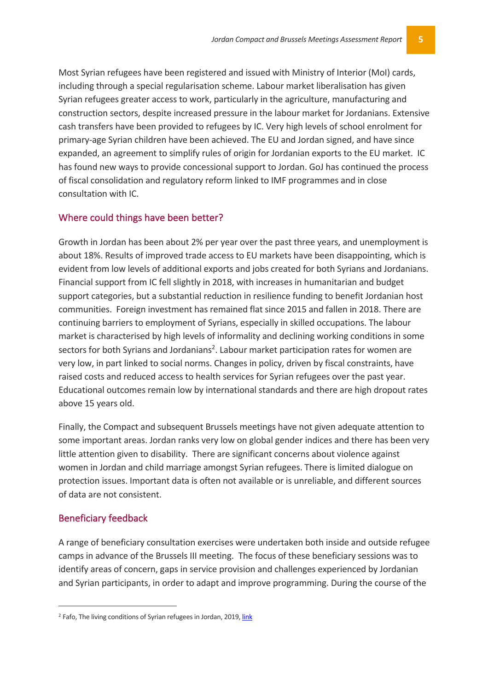Most Syrian refugees have been registered and issued with Ministry of Interior (MoI) cards, including through a special regularisation scheme. Labour market liberalisation has given Syrian refugees greater access to work, particularly in the agriculture, manufacturing and construction sectors, despite increased pressure in the labour market for Jordanians. Extensive cash transfers have been provided to refugees by IC. Very high levels of school enrolment for primary-age Syrian children have been achieved. The EU and Jordan signed, and have since expanded, an agreement to simplify rules of origin for Jordanian exports to the EU market. IC has found new ways to provide concessional support to Jordan. GoJ has continued the process of fiscal consolidation and regulatory reform linked to IMF programmes and in close consultation with IC.

#### Where could things have been better?

Growth in Jordan has been about 2% per year over the past three years, and unemployment is about 18%. Results of improved trade access to EU markets have been disappointing, which is evident from low levels of additional exports and jobs created for both Syrians and Jordanians. Financial support from IC fell slightly in 2018, with increases in humanitarian and budget support categories, but a substantial reduction in resilience funding to benefit Jordanian host communities. Foreign investment has remained flat since 2015 and fallen in 2018. There are continuing barriers to employment of Syrians, especially in skilled occupations. The labour market is characterised by high levels of informality and declining working conditions in some sectors for both Syrians and Jordanians<sup>2</sup>. Labour market participation rates for women are very low, in part linked to social norms. Changes in policy, driven by fiscal constraints, have raised costs and reduced access to health services for Syrian refugees over the past year. Educational outcomes remain low by international standards and there are high dropout rates above 15 years old.

Finally, the Compact and subsequent Brussels meetings have not given adequate attention to some important areas. Jordan ranks very low on global gender indices and there has been very little attention given to disability. There are significant concerns about violence against women in Jordan and child marriage amongst Syrian refugees. There is limited dialogue on protection issues. Important data is often not available or is unreliable, and different sources of data are not consistent.

#### Beneficiary feedback

A range of beneficiary consultation exercises were undertaken both inside and outside refugee camps in advance of the Brussels III meeting. The focus of these beneficiary sessions was to identify areas of concern, gaps in service provision and challenges experienced by Jordanian and Syrian participants, in order to adapt and improve programming. During the course of the

 <sup>2</sup> Fafo, The living conditions of Syrian refugees in Jordan, 2019, link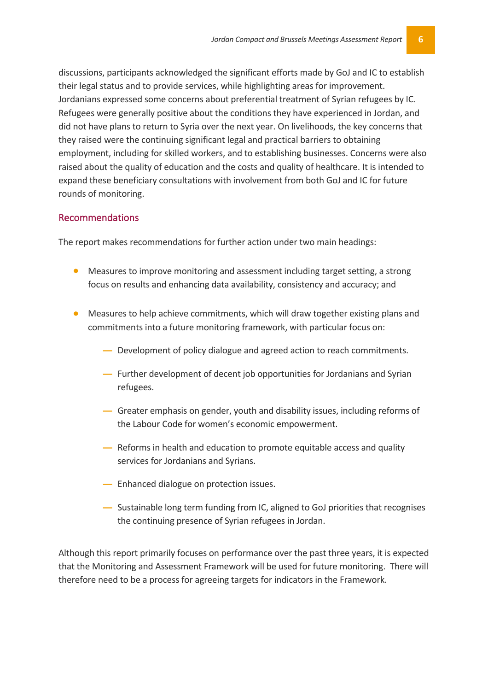discussions, participants acknowledged the significant efforts made by GoJ and IC to establish their legal status and to provide services, while highlighting areas for improvement. Jordanians expressed some concerns about preferential treatment of Syrian refugees by IC. Refugees were generally positive about the conditions they have experienced in Jordan, and did not have plans to return to Syria over the next year. On livelihoods, the key concerns that they raised were the continuing significant legal and practical barriers to obtaining employment, including for skilled workers, and to establishing businesses. Concerns were also raised about the quality of education and the costs and quality of healthcare. It is intended to expand these beneficiary consultations with involvement from both GoJ and IC for future rounds of monitoring.

#### Recommendations

The report makes recommendations for further action under two main headings:

- Measures to improve monitoring and assessment including target setting, a strong focus on results and enhancing data availability, consistency and accuracy; and
- Measures to help achieve commitments, which will draw together existing plans and commitments into a future monitoring framework, with particular focus on:
	- **―** Development of policy dialogue and agreed action to reach commitments.
	- **―** Further development of decent job opportunities for Jordanians and Syrian refugees.
	- **―** Greater emphasis on gender, youth and disability issues, including reforms of the Labour Code for women's economic empowerment.
	- **―** Reforms in health and education to promote equitable access and quality services for Jordanians and Syrians.
	- **―** Enhanced dialogue on protection issues.
	- **―** Sustainable long term funding from IC, aligned to GoJ priorities that recognises the continuing presence of Syrian refugees in Jordan.

Although this report primarily focuses on performance over the past three years, it is expected that the Monitoring and Assessment Framework will be used for future monitoring. There will therefore need to be a process for agreeing targets for indicators in the Framework.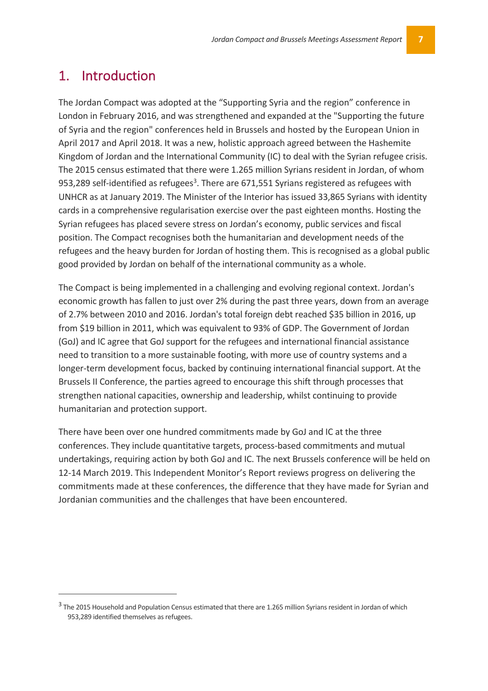## 1. Introduction

 $\overline{a}$ 

The Jordan Compact was adopted at the "Supporting Syria and the region" conference in London in February 2016, and was strengthened and expanded at the "Supporting the future of Syria and the region" conferences held in Brussels and hosted by the European Union in April 2017 and April 2018. It was a new, holistic approach agreed between the Hashemite Kingdom of Jordan and the International Community (IC) to deal with the Syrian refugee crisis. The 2015 census estimated that there were 1.265 million Syrians resident in Jordan, of whom 953,289 self-identified as refugees<sup>3</sup>. There are 671,551 Syrians registered as refugees with UNHCR as at January 2019. The Minister of the Interior has issued 33,865 Syrians with identity cards in a comprehensive regularisation exercise over the past eighteen months. Hosting the Syrian refugees has placed severe stress on Jordan's economy, public services and fiscal position. The Compact recognises both the humanitarian and development needs of the refugees and the heavy burden for Jordan of hosting them. This is recognised as a global public good provided by Jordan on behalf of the international community as a whole.

The Compact is being implemented in a challenging and evolving regional context. Jordan's economic growth has fallen to just over 2% during the past three years, down from an average of 2.7% between 2010 and 2016. Jordan's total foreign debt reached \$35 billion in 2016, up from \$19 billion in 2011, which was equivalent to 93% of GDP. The Government of Jordan (GoJ) and IC agree that GoJ support for the refugees and international financial assistance need to transition to a more sustainable footing, with more use of country systems and a longer-term development focus, backed by continuing international financial support. At the Brussels II Conference, the parties agreed to encourage this shift through processes that strengthen national capacities, ownership and leadership, whilst continuing to provide humanitarian and protection support.

There have been over one hundred commitments made by GoJ and IC at the three conferences. They include quantitative targets, process-based commitments and mutual undertakings, requiring action by both GoJ and IC. The next Brussels conference will be held on 12-14 March 2019. This Independent Monitor's Report reviews progress on delivering the commitments made at these conferences, the difference that they have made for Syrian and Jordanian communities and the challenges that have been encountered.

<sup>&</sup>lt;sup>3</sup> The 2015 Household and Population Census estimated that there are 1.265 million Syrians resident in Jordan of which 953,289 identified themselves as refugees.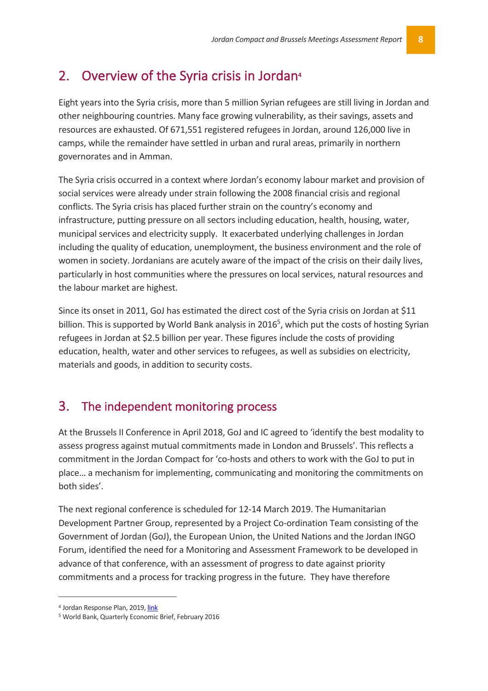## 2. Overview of the Syria crisis in Jordan**<sup>4</sup>**

Eight years into the Syria crisis, more than 5 million Syrian refugees are still living in Jordan and other neighbouring countries. Many face growing vulnerability, as their savings, assets and resources are exhausted. Of 671,551 registered refugees in Jordan, around 126,000 live in camps, while the remainder have settled in urban and rural areas, primarily in northern governorates and in Amman.

The Syria crisis occurred in a context where Jordan's economy labour market and provision of social services were already under strain following the 2008 financial crisis and regional conflicts. The Syria crisis has placed further strain on the country's economy and infrastructure, putting pressure on all sectors including education, health, housing, water, municipal services and electricity supply. It exacerbated underlying challenges in Jordan including the quality of education, unemployment, the business environment and the role of women in society. Jordanians are acutely aware of the impact of the crisis on their daily lives, particularly in host communities where the pressures on local services, natural resources and the labour market are highest.

Since its onset in 2011, GoJ has estimated the direct cost of the Syria crisis on Jordan at \$11 billion. This is supported by World Bank analysis in 2016<sup>5</sup>, which put the costs of hosting Syrian refugees in Jordan at \$2.5 billion per year. These figures include the costs of providing education, health, water and other services to refugees, as well as subsidies on electricity, materials and goods, in addition to security costs.

## 3. The independent monitoring process

At the Brussels II Conference in April 2018, GoJ and IC agreed to 'identify the best modality to assess progress against mutual commitments made in London and Brussels'. This reflects a commitment in the Jordan Compact for 'co-hosts and others to work with the GoJ to put in place… a mechanism for implementing, communicating and monitoring the commitments on both sides'.

The next regional conference is scheduled for 12-14 March 2019. The Humanitarian Development Partner Group, represented by a Project Co-ordination Team consisting of the Government of Jordan (GoJ), the European Union, the United Nations and the Jordan INGO Forum, identified the need for a Monitoring and Assessment Framework to be developed in advance of that conference, with an assessment of progress to date against priority commitments and a process for tracking progress in the future. They have therefore

 <sup>4</sup> Jordan Response Plan, 2019, link

<sup>5</sup> World Bank, Quarterly Economic Brief, February 2016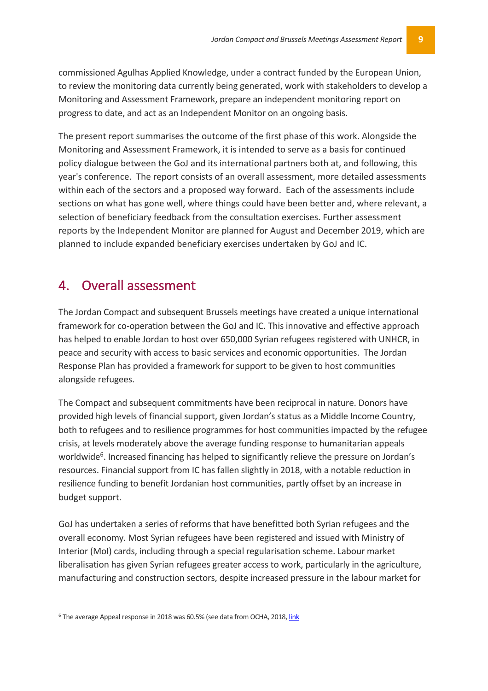commissioned Agulhas Applied Knowledge, under a contract funded by the European Union, to review the monitoring data currently being generated, work with stakeholders to develop a Monitoring and Assessment Framework, prepare an independent monitoring report on progress to date, and act as an Independent Monitor on an ongoing basis.

The present report summarises the outcome of the first phase of this work. Alongside the Monitoring and Assessment Framework, it is intended to serve as a basis for continued policy dialogue between the GoJ and its international partners both at, and following, this year's conference. The report consists of an overall assessment, more detailed assessments within each of the sectors and a proposed way forward. Each of the assessments include sections on what has gone well, where things could have been better and, where relevant, a selection of beneficiary feedback from the consultation exercises. Further assessment reports by the Independent Monitor are planned for August and December 2019, which are planned to include expanded beneficiary exercises undertaken by GoJ and IC.

## 4. Overall assessment

The Jordan Compact and subsequent Brussels meetings have created a unique international framework for co-operation between the GoJ and IC. This innovative and effective approach has helped to enable Jordan to host over 650,000 Syrian refugees registered with UNHCR, in peace and security with access to basic services and economic opportunities. The Jordan Response Plan has provided a framework for support to be given to host communities alongside refugees.

The Compact and subsequent commitments have been reciprocal in nature. Donors have provided high levels of financial support, given Jordan's status as a Middle Income Country, both to refugees and to resilience programmes for host communities impacted by the refugee crisis, at levels moderately above the average funding response to humanitarian appeals worldwide<sup>6</sup>. Increased financing has helped to significantly relieve the pressure on Jordan's resources. Financial support from IC has fallen slightly in 2018, with a notable reduction in resilience funding to benefit Jordanian host communities, partly offset by an increase in budget support.

GoJ has undertaken a series of reforms that have benefitted both Syrian refugees and the overall economy. Most Syrian refugees have been registered and issued with Ministry of Interior (MoI) cards, including through a special regularisation scheme. Labour market liberalisation has given Syrian refugees greater access to work, particularly in the agriculture, manufacturing and construction sectors, despite increased pressure in the labour market for

<sup>&</sup>lt;sup>6</sup> The average Appeal response in 2018 was 60.5% (see data from OCHA, 2018, link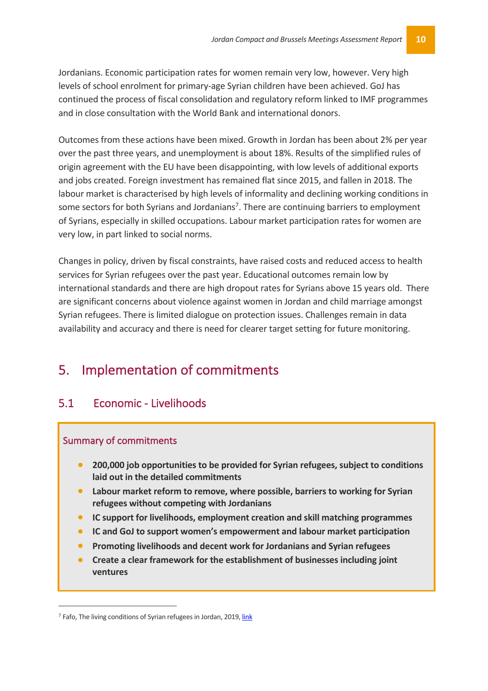Jordanians. Economic participation rates for women remain very low, however. Very high levels of school enrolment for primary-age Syrian children have been achieved. GoJ has continued the process of fiscal consolidation and regulatory reform linked to IMF programmes and in close consultation with the World Bank and international donors.

Outcomes from these actions have been mixed. Growth in Jordan has been about 2% per year over the past three years, and unemployment is about 18%. Results of the simplified rules of origin agreement with the EU have been disappointing, with low levels of additional exports and jobs created. Foreign investment has remained flat since 2015, and fallen in 2018. The labour market is characterised by high levels of informality and declining working conditions in some sectors for both Syrians and Jordanians<sup>7</sup>. There are continuing barriers to employment of Syrians, especially in skilled occupations. Labour market participation rates for women are very low, in part linked to social norms.

Changes in policy, driven by fiscal constraints, have raised costs and reduced access to health services for Syrian refugees over the past year. Educational outcomes remain low by international standards and there are high dropout rates for Syrians above 15 years old. There are significant concerns about violence against women in Jordan and child marriage amongst Syrian refugees. There is limited dialogue on protection issues. Challenges remain in data availability and accuracy and there is need for clearer target setting for future monitoring.

## 5. Implementation of commitments

### 5.1 Economic - Livelihoods

#### Summary of commitments

- **200,000 job opportunities to be provided for Syrian refugees, subject to conditions laid out in the detailed commitments**
- **Labour market reform to remove, where possible, barriers to working for Syrian refugees without competing with Jordanians**
- **IC support for livelihoods, employment creation and skill matching programmes**
- **IC and GoJ to support women's empowerment and labour market participation**
- **Promoting livelihoods and decent work for Jordanians and Syrian refugees**
- **Create a clear framework for the establishment of businesses including joint ventures**

<sup>&</sup>lt;sup>7</sup> Fafo, The living conditions of Syrian refugees in Jordan, 2019, link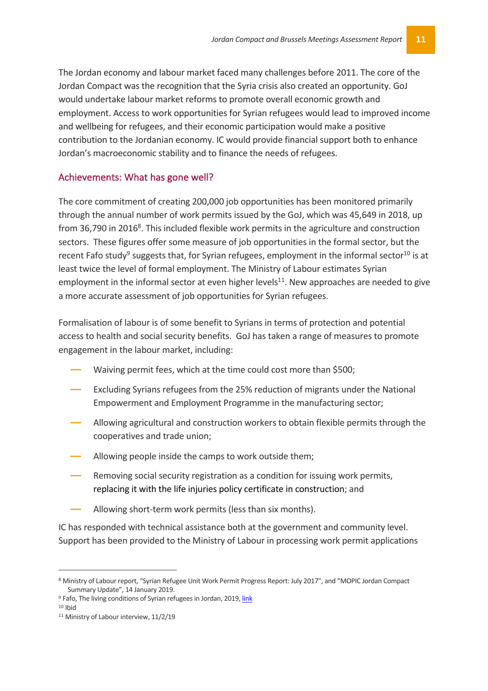The Jordan economy and labour market faced many challenges before 2011. The core of the Jordan Compact was the recognition that the Syria crisis also created an opportunity. GoJ would undertake labour market reforms to promote overall economic growth and employment. Access to work opportunities for Syrian refugees would lead to improved income and wellbeing for refugees, and their economic participation would make a positive contribution to the Jordanian economy. IC would provide financial support both to enhance Jordan's macroeconomic stability and to finance the needs of refugees.

#### Achievements: What has gone well?

The core commitment of creating 200,000 job opportunities has been monitored primarily through the annual number of work permits issued by the GoJ, which was 45,649 in 2018, up from 36,790 in 2016<sup>8</sup>. This included flexible work permits in the agriculture and construction sectors. These figures offer some measure of job opportunities in the formal sector, but the recent Fafo study<sup>9</sup> suggests that, for Syrian refugees, employment in the informal sector<sup>10</sup> is at least twice the level of formal employment. The Ministry of Labour estimates Syrian employment in the informal sector at even higher levels<sup>11</sup>. New approaches are needed to give a more accurate assessment of job opportunities for Syrian refugees.

Formalisation of labour is of some benefit to Syrians in terms of protection and potential access to health and social security benefits. GoJ has taken a range of measures to promote engagement in the labour market, including:

- Waiving permit fees, which at the time could cost more than \$500;
- **―** Excluding Syrians refugees from the 25% reduction of migrants under the National Empowerment and Employment Programme in the manufacturing sector;
- **―** Allowing agricultural and construction workers to obtain flexible permits through the cooperatives and trade union;
- **―** Allowing people inside the camps to work outside them;
- **―** Removing social security registration as a condition for issuing work permits, replacing it with the life injuries policy certificate in construction; and
- **―** Allowing short-term work permits (less than six months).

IC has responded with technical assistance both at the government and community level. Support has been provided to the Ministry of Labour in processing work permit applications

 <sup>8</sup> Ministry of Labour report, "Syrian Refugee Unit Work Permit Progress Report: July 2017", and "MOPIC Jordan Compact Summary Update", 14 January 2019.

<sup>&</sup>lt;sup>9</sup> Fafo, The living conditions of Syrian refugees in Jordan, 2019, link

 $10$  Ibid

<sup>&</sup>lt;sup>11</sup> Ministry of Labour interview, 11/2/19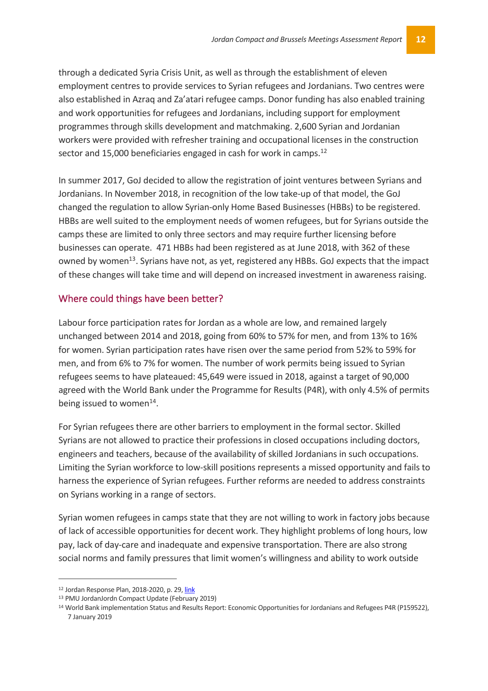through a dedicated Syria Crisis Unit, as well as through the establishment of eleven employment centres to provide services to Syrian refugees and Jordanians. Two centres were also established in Azraq and Za'atari refugee camps. Donor funding has also enabled training and work opportunities for refugees and Jordanians, including support for employment programmes through skills development and matchmaking. 2,600 Syrian and Jordanian workers were provided with refresher training and occupational licenses in the construction sector and 15,000 beneficiaries engaged in cash for work in camps.<sup>12</sup>

In summer 2017, GoJ decided to allow the registration of joint ventures between Syrians and Jordanians. In November 2018, in recognition of the low take-up of that model, the GoJ changed the regulation to allow Syrian-only Home Based Businesses (HBBs) to be registered. HBBs are well suited to the employment needs of women refugees, but for Syrians outside the camps these are limited to only three sectors and may require further licensing before businesses can operate. 471 HBBs had been registered as at June 2018, with 362 of these owned by women<sup>13</sup>. Syrians have not, as yet, registered any HBBs. GoJ expects that the impact of these changes will take time and will depend on increased investment in awareness raising.

#### Where could things have been better?

Labour force participation rates for Jordan as a whole are low, and remained largely unchanged between 2014 and 2018, going from 60% to 57% for men, and from 13% to 16% for women. Syrian participation rates have risen over the same period from 52% to 59% for men, and from 6% to 7% for women. The number of work permits being issued to Syrian refugees seems to have plateaued: 45,649 were issued in 2018, against a target of 90,000 agreed with the World Bank under the Programme for Results (P4R), with only 4.5% of permits being issued to women<sup>14</sup>.

For Syrian refugees there are other barriers to employment in the formal sector. Skilled Syrians are not allowed to practice their professions in closed occupations including doctors, engineers and teachers, because of the availability of skilled Jordanians in such occupations. Limiting the Syrian workforce to low-skill positions represents a missed opportunity and fails to harness the experience of Syrian refugees. Further reforms are needed to address constraints on Syrians working in a range of sectors.

Syrian women refugees in camps state that they are not willing to work in factory jobs because of lack of accessible opportunities for decent work. They highlight problems of long hours, low pay, lack of day-care and inadequate and expensive transportation. There are also strong social norms and family pressures that limit women's willingness and ability to work outside

 <sup>12</sup> Jordan Response Plan, 2018-2020, p. 29, link

<sup>13</sup> PMU JordanJordn Compact Update (February 2019)

<sup>14</sup> World Bank implementation Status and Results Report: Economic Opportunities for Jordanians and Refugees P4R (P159522), 7 January 2019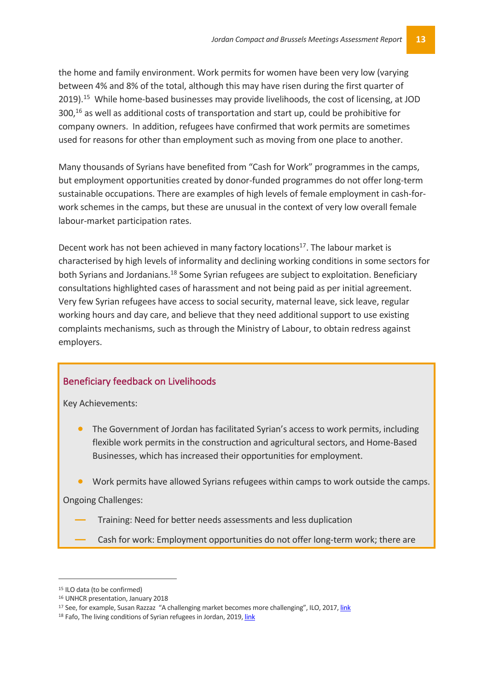the home and family environment. Work permits for women have been very low (varying between 4% and 8% of the total, although this may have risen during the first quarter of 2019).<sup>15</sup> While home-based businesses may provide livelihoods, the cost of licensing, at JOD  $300<sup>16</sup>$  as well as additional costs of transportation and start up, could be prohibitive for company owners. In addition, refugees have confirmed that work permits are sometimes used for reasons for other than employment such as moving from one place to another.

Many thousands of Syrians have benefited from "Cash for Work" programmes in the camps, but employment opportunities created by donor-funded programmes do not offer long-term sustainable occupations. There are examples of high levels of female employment in cash-forwork schemes in the camps, but these are unusual in the context of very low overall female labour-market participation rates.

Decent work has not been achieved in many factory locations<sup>17</sup>. The labour market is characterised by high levels of informality and declining working conditions in some sectors for both Syrians and Jordanians.<sup>18</sup> Some Syrian refugees are subject to exploitation. Beneficiary consultations highlighted cases of harassment and not being paid as per initial agreement. Very few Syrian refugees have access to social security, maternal leave, sick leave, regular working hours and day care, and believe that they need additional support to use existing complaints mechanisms, such as through the Ministry of Labour, to obtain redress against employers.

#### Beneficiary feedback on Livelihoods

Key Achievements:

- The Government of Jordan has facilitated Syrian's access to work permits, including flexible work permits in the construction and agricultural sectors, and Home-Based Businesses, which has increased their opportunities for employment.
- Work permits have allowed Syrians refugees within camps to work outside the camps.

Ongoing Challenges:

- **―** Training: Need for better needs assessments and less duplication
- **―** Cash for work: Employment opportunities do not offer long-term work; there are

 <sup>15</sup> ILO data (to be confirmed)

<sup>16</sup> UNHCR presentation, January 2018

<sup>&</sup>lt;sup>17</sup> See, for example, Susan Razzaz "A challenging market becomes more challenging", ILO, 2017, link

<sup>&</sup>lt;sup>18</sup> Fafo. The living conditions of Syrian refugees in Jordan, 2019, link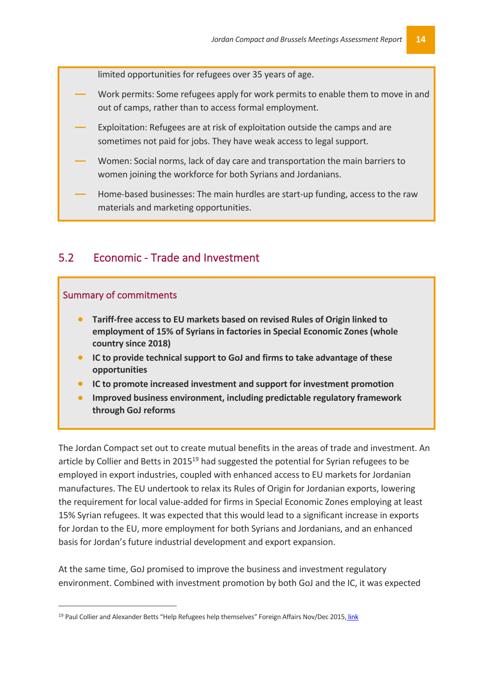limited opportunities for refugees over 35 years of age.

- **―** Work permits: Some refugees apply for work permits to enable them to move in and out of camps, rather than to access formal employment.
- **―** Exploitation: Refugees are at risk of exploitation outside the camps and are sometimes not paid for jobs. They have weak access to legal support.
- **―** Women: Social norms, lack of day care and transportation the main barriers to women joining the workforce for both Syrians and Jordanians.
- **―** Home-based businesses: The main hurdles are start-up funding, access to the raw materials and marketing opportunities.

#### 5.2 Economic - Trade and Investment

#### Summary of commitments

- **Tariff-free access to EU markets based on revised Rules of Origin linked to employment of 15% of Syrians in factories in Special Economic Zones (whole country since 2018)**
- **IC to provide technical support to GoJ and firms to take advantage of these opportunities**
- **IC to promote increased investment and support for investment promotion**
- **Improved business environment, including predictable regulatory framework through GoJ reforms**

The Jordan Compact set out to create mutual benefits in the areas of trade and investment. An article by Collier and Betts in 2015<sup>19</sup> had suggested the potential for Syrian refugees to be employed in export industries, coupled with enhanced access to EU markets for Jordanian manufactures. The EU undertook to relax its Rules of Origin for Jordanian exports, lowering the requirement for local value-added for firms in Special Economic Zones employing at least 15% Syrian refugees. It was expected that this would lead to a significant increase in exports for Jordan to the EU, more employment for both Syrians and Jordanians, and an enhanced basis for Jordan's future industrial development and export expansion.

At the same time, GoJ promised to improve the business and investment regulatory environment. Combined with investment promotion by both GoJ and the IC, it was expected

<sup>&</sup>lt;sup>19</sup> Paul Collier and Alexander Betts "Help Refugees help themselves" Foreign Affairs Nov/Dec 2015, link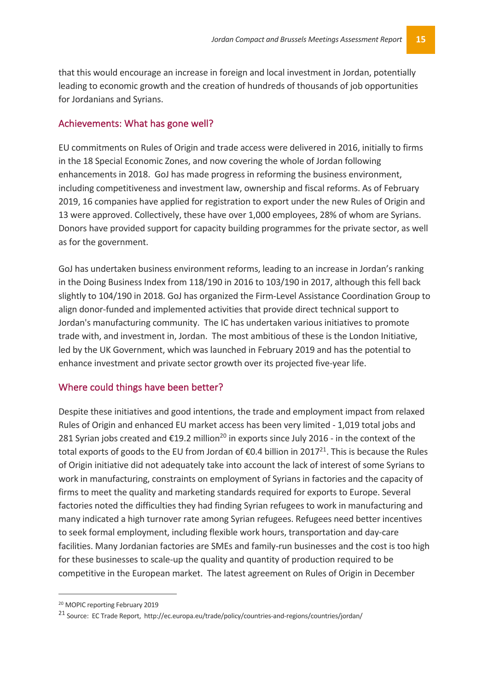that this would encourage an increase in foreign and local investment in Jordan, potentially leading to economic growth and the creation of hundreds of thousands of job opportunities for Jordanians and Syrians.

#### Achievements: What has gone well?

EU commitments on Rules of Origin and trade access were delivered in 2016, initially to firms in the 18 Special Economic Zones, and now covering the whole of Jordan following enhancements in 2018. GoJ has made progress in reforming the business environment, including competitiveness and investment law, ownership and fiscal reforms. As of February 2019, 16 companies have applied for registration to export under the new Rules of Origin and 13 were approved. Collectively, these have over 1,000 employees, 28% of whom are Syrians. Donors have provided support for capacity building programmes for the private sector, as well as for the government.

GoJ has undertaken business environment reforms, leading to an increase in Jordan's ranking in the Doing Business Index from 118/190 in 2016 to 103/190 in 2017, although this fell back slightly to 104/190 in 2018. GoJ has organized the Firm-Level Assistance Coordination Group to align donor-funded and implemented activities that provide direct technical support to Jordan's manufacturing community. The IC has undertaken various initiatives to promote trade with, and investment in, Jordan. The most ambitious of these is the London Initiative, led by the UK Government, which was launched in February 2019 and has the potential to enhance investment and private sector growth over its projected five-year life.

#### Where could things have been better?

Despite these initiatives and good intentions, the trade and employment impact from relaxed Rules of Origin and enhanced EU market access has been very limited - 1,019 total jobs and 281 Syrian jobs created and  $\epsilon$ 19.2 million<sup>20</sup> in exports since July 2016 - in the context of the total exports of goods to the EU from Jordan of  $\epsilon$ 0.4 billion in 2017<sup>21</sup>. This is because the Rules of Origin initiative did not adequately take into account the lack of interest of some Syrians to work in manufacturing, constraints on employment of Syrians in factories and the capacity of firms to meet the quality and marketing standards required for exports to Europe. Several factories noted the difficulties they had finding Syrian refugees to work in manufacturing and many indicated a high turnover rate among Syrian refugees. Refugees need better incentives to seek formal employment, including flexible work hours, transportation and day-care facilities. Many Jordanian factories are SMEs and family-run businesses and the cost is too high for these businesses to scale-up the quality and quantity of production required to be competitive in the European market. The latest agreement on Rules of Origin in December

 <sup>20</sup> MOPIC reporting February 2019

<sup>21</sup> Source: EC Trade Report, http://ec.europa.eu/trade/policy/countries-and-regions/countries/jordan/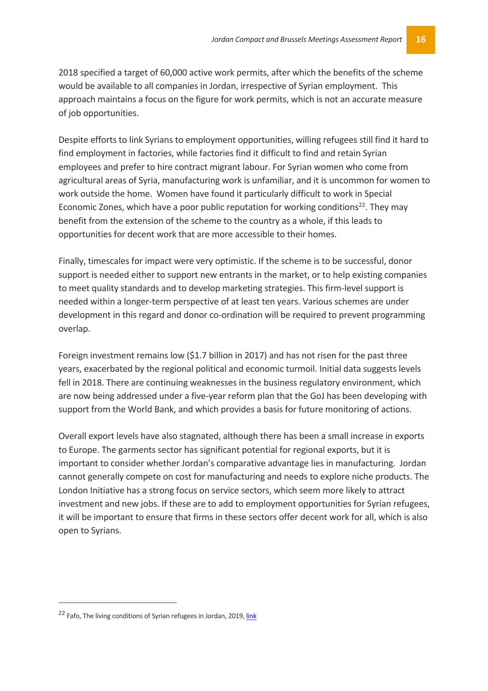2018 specified a target of 60,000 active work permits, after which the benefits of the scheme would be available to all companies in Jordan, irrespective of Syrian employment. This approach maintains a focus on the figure for work permits, which is not an accurate measure of job opportunities.

Despite efforts to link Syrians to employment opportunities, willing refugees still find it hard to find employment in factories, while factories find it difficult to find and retain Syrian employees and prefer to hire contract migrant labour. For Syrian women who come from agricultural areas of Syria, manufacturing work is unfamiliar, and it is uncommon for women to work outside the home. Women have found it particularly difficult to work in Special Economic Zones, which have a poor public reputation for working conditions<sup>22</sup>. They may benefit from the extension of the scheme to the country as a whole, if this leads to opportunities for decent work that are more accessible to their homes.

Finally, timescales for impact were very optimistic. If the scheme is to be successful, donor support is needed either to support new entrants in the market, or to help existing companies to meet quality standards and to develop marketing strategies. This firm-level support is needed within a longer-term perspective of at least ten years. Various schemes are under development in this regard and donor co-ordination will be required to prevent programming overlap.

Foreign investment remains low (\$1.7 billion in 2017) and has not risen for the past three years, exacerbated by the regional political and economic turmoil. Initial data suggests levels fell in 2018. There are continuing weaknesses in the business regulatory environment, which are now being addressed under a five-year reform plan that the GoJ has been developing with support from the World Bank, and which provides a basis for future monitoring of actions.

Overall export levels have also stagnated, although there has been a small increase in exports to Europe. The garments sector has significant potential for regional exports, but it is important to consider whether Jordan's comparative advantage lies in manufacturing. Jordan cannot generally compete on cost for manufacturing and needs to explore niche products. The London Initiative has a strong focus on service sectors, which seem more likely to attract investment and new jobs. If these are to add to employment opportunities for Syrian refugees, it will be important to ensure that firms in these sectors offer decent work for all, which is also open to Syrians.

 $\overline{a}$ 

<sup>&</sup>lt;sup>22</sup> Fafo, The living conditions of Syrian refugees in Jordan, 2019, link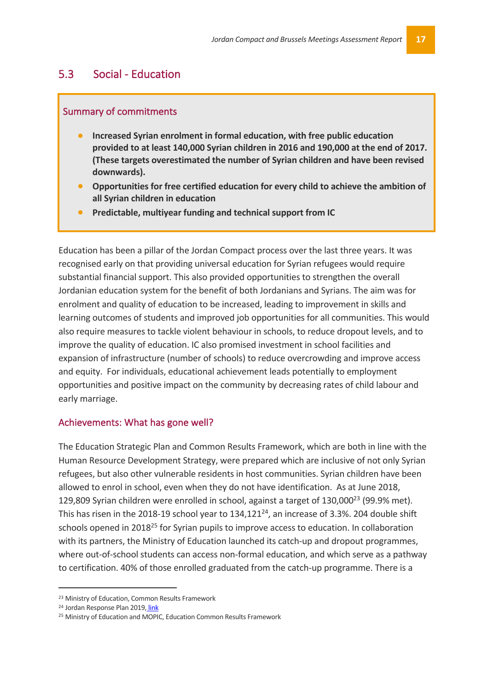#### 5.3 Social - Education

#### Summary of commitments

- **Increased Syrian enrolment in formal education, with free public education provided to at least 140,000 Syrian children in 2016 and 190,000 at the end of 2017. (These targets overestimated the number of Syrian children and have been revised downwards).**
- **Opportunities for free certified education for every child to achieve the ambition of all Syrian children in education**
- **Predictable, multiyear funding and technical support from IC**

Education has been a pillar of the Jordan Compact process over the last three years. It was recognised early on that providing universal education for Syrian refugees would require substantial financial support. This also provided opportunities to strengthen the overall Jordanian education system for the benefit of both Jordanians and Syrians. The aim was for enrolment and quality of education to be increased, leading to improvement in skills and learning outcomes of students and improved job opportunities for all communities. This would also require measures to tackle violent behaviour in schools, to reduce dropout levels, and to improve the quality of education. IC also promised investment in school facilities and expansion of infrastructure (number of schools) to reduce overcrowding and improve access and equity. For individuals, educational achievement leads potentially to employment opportunities and positive impact on the community by decreasing rates of child labour and early marriage.

#### Achievements: What has gone well?

The Education Strategic Plan and Common Results Framework, which are both in line with the Human Resource Development Strategy, were prepared which are inclusive of not only Syrian refugees, but also other vulnerable residents in host communities. Syrian children have been allowed to enrol in school, even when they do not have identification. As at June 2018, 129,809 Syrian children were enrolled in school, against a target of 130,000<sup>23</sup> (99.9% met). This has risen in the 2018-19 school year to  $134,121^{24}$ , an increase of 3.3%. 204 double shift schools opened in 2018<sup>25</sup> for Syrian pupils to improve access to education. In collaboration with its partners, the Ministry of Education launched its catch-up and dropout programmes, where out-of-school students can access non-formal education, and which serve as a pathway to certification. 40% of those enrolled graduated from the catch-up programme. There is a

 <sup>23</sup> Ministry of Education, Common Results Framework

<sup>24</sup> Jordan Response Plan 2019, link

<sup>&</sup>lt;sup>25</sup> Ministry of Education and MOPIC. Education Common Results Framework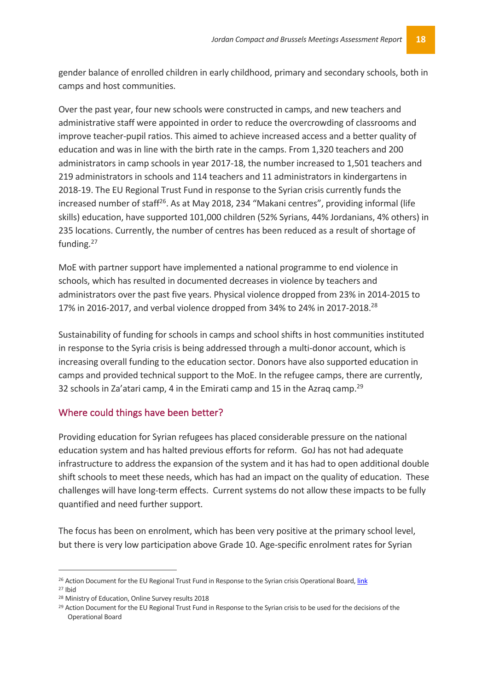gender balance of enrolled children in early childhood, primary and secondary schools, both in camps and host communities.

Over the past year, four new schools were constructed in camps, and new teachers and administrative staff were appointed in order to reduce the overcrowding of classrooms and improve teacher-pupil ratios. This aimed to achieve increased access and a better quality of education and was in line with the birth rate in the camps. From 1,320 teachers and 200 administrators in camp schools in year 2017-18, the number increased to 1,501 teachers and 219 administrators in schools and 114 teachers and 11 administrators in kindergartens in 2018-19. The EU Regional Trust Fund in response to the Syrian crisis currently funds the increased number of staff<sup>26</sup>. As at May 2018, 234 "Makani centres", providing informal (life skills) education, have supported 101,000 children (52% Syrians, 44% Jordanians, 4% others) in 235 locations. Currently, the number of centres has been reduced as a result of shortage of funding.<sup>27</sup>

MoE with partner support have implemented a national programme to end violence in schools, which has resulted in documented decreases in violence by teachers and administrators over the past five years. Physical violence dropped from 23% in 2014-2015 to 17% in 2016-2017, and verbal violence dropped from 34% to 24% in 2017-2018.<sup>28</sup>

Sustainability of funding for schools in camps and school shifts in host communities instituted in response to the Syria crisis is being addressed through a multi-donor account, which is increasing overall funding to the education sector. Donors have also supported education in camps and provided technical support to the MoE. In the refugee camps, there are currently, 32 schools in Za'atari camp, 4 in the Emirati camp and 15 in the Azraq camp.<sup>29</sup>

#### Where could things have been better?

Providing education for Syrian refugees has placed considerable pressure on the national education system and has halted previous efforts for reform. GoJ has not had adequate infrastructure to address the expansion of the system and it has had to open additional double shift schools to meet these needs, which has had an impact on the quality of education. These challenges will have long-term effects. Current systems do not allow these impacts to be fully quantified and need further support.

The focus has been on enrolment, which has been very positive at the primary school level, but there is very low participation above Grade 10. Age-specific enrolment rates for Syrian

<sup>&</sup>lt;sup>26</sup> Action Document for the EU Regional Trust Fund in Response to the Syrian crisis Operational Board, link <sup>27</sup> Ibid

<sup>28</sup> Ministry of Education, Online Survey results 2018

<sup>&</sup>lt;sup>29</sup> Action Document for the EU Regional Trust Fund in Response to the Syrian crisis to be used for the decisions of the Operational Board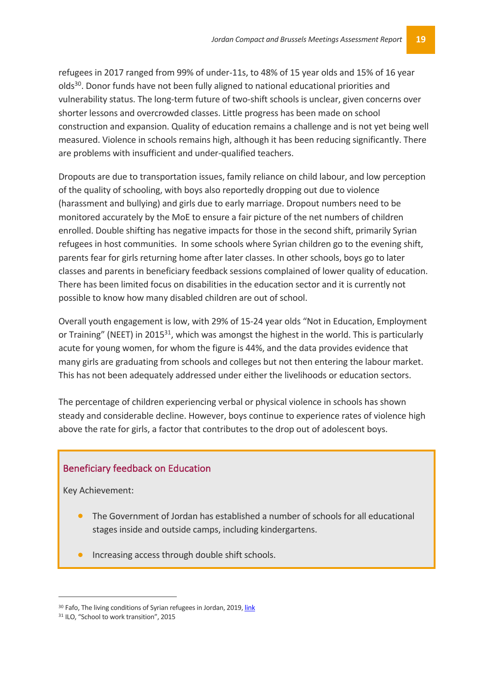refugees in 2017 ranged from 99% of under-11s, to 48% of 15 year olds and 15% of 16 year olds30. Donor funds have not been fully aligned to national educational priorities and vulnerability status. The long-term future of two-shift schools is unclear, given concerns over shorter lessons and overcrowded classes. Little progress has been made on school construction and expansion. Quality of education remains a challenge and is not yet being well measured. Violence in schools remains high, although it has been reducing significantly. There are problems with insufficient and under-qualified teachers.

Dropouts are due to transportation issues, family reliance on child labour, and low perception of the quality of schooling, with boys also reportedly dropping out due to violence (harassment and bullying) and girls due to early marriage. Dropout numbers need to be monitored accurately by the MoE to ensure a fair picture of the net numbers of children enrolled. Double shifting has negative impacts for those in the second shift, primarily Syrian refugees in host communities. In some schools where Syrian children go to the evening shift, parents fear for girls returning home after later classes. In other schools, boys go to later classes and parents in beneficiary feedback sessions complained of lower quality of education. There has been limited focus on disabilities in the education sector and it is currently not possible to know how many disabled children are out of school.

Overall youth engagement is low, with 29% of 15-24 year olds "Not in Education, Employment or Training" (NEET) in 2015<sup>31</sup>, which was amongst the highest in the world. This is particularly acute for young women, for whom the figure is 44%, and the data provides evidence that many girls are graduating from schools and colleges but not then entering the labour market. This has not been adequately addressed under either the livelihoods or education sectors.

The percentage of children experiencing verbal or physical violence in schools has shown steady and considerable decline. However, boys continue to experience rates of violence high above the rate for girls, a factor that contributes to the drop out of adolescent boys.

#### Beneficiary feedback on Education

Key Achievement:

- The Government of Jordan has established a number of schools for all educational stages inside and outside camps, including kindergartens.
- Increasing access through double shift schools.

<sup>30</sup> Fafo, The living conditions of Syrian refugees in Jordan, 2019, link

<sup>&</sup>lt;sup>31</sup> ILO, "School to work transition", 2015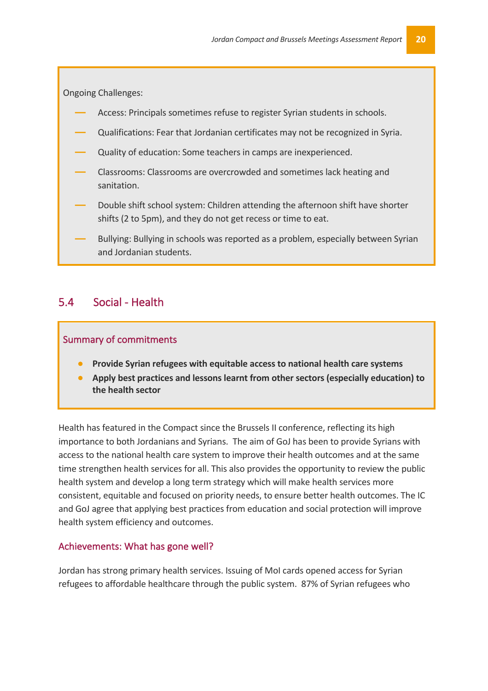Ongoing Challenges:

- **―** Access: Principals sometimes refuse to register Syrian students in schools.
- **―** Qualifications: Fear that Jordanian certificates may not be recognized in Syria.
- **―** Quality of education: Some teachers in camps are inexperienced.
- **―** Classrooms: Classrooms are overcrowded and sometimes lack heating and sanitation.
- **―** Double shift school system: Children attending the afternoon shift have shorter shifts (2 to 5pm), and they do not get recess or time to eat.
- **―** Bullying: Bullying in schools was reported as a problem, especially between Syrian and Jordanian students.

#### 5.4 Social - Health

#### Summary of commitments

- **Provide Syrian refugees with equitable access to national health care systems**
- **Apply best practices and lessons learnt from other sectors (especially education) to the health sector**

Health has featured in the Compact since the Brussels II conference, reflecting its high importance to both Jordanians and Syrians. The aim of GoJ has been to provide Syrians with access to the national health care system to improve their health outcomes and at the same time strengthen health services for all. This also provides the opportunity to review the public health system and develop a long term strategy which will make health services more consistent, equitable and focused on priority needs, to ensure better health outcomes. The IC and GoJ agree that applying best practices from education and social protection will improve health system efficiency and outcomes.

#### Achievements: What has gone well?

Jordan has strong primary health services. Issuing of MoI cards opened access for Syrian refugees to affordable healthcare through the public system. 87% of Syrian refugees who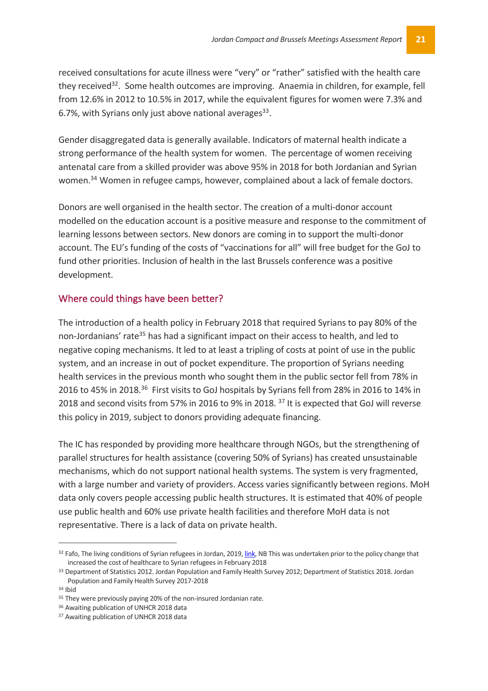received consultations for acute illness were "very" or "rather" satisfied with the health care they received<sup>32</sup>. Some health outcomes are improving. Anaemia in children, for example, fell from 12.6% in 2012 to 10.5% in 2017, while the equivalent figures for women were 7.3% and 6.7%, with Syrians only just above national averages $^{33}$ .

Gender disaggregated data is generally available. Indicators of maternal health indicate a strong performance of the health system for women. The percentage of women receiving antenatal care from a skilled provider was above 95% in 2018 for both Jordanian and Syrian women.<sup>34</sup> Women in refugee camps, however, complained about a lack of female doctors.

Donors are well organised in the health sector. The creation of a multi-donor account modelled on the education account is a positive measure and response to the commitment of learning lessons between sectors. New donors are coming in to support the multi-donor account. The EU's funding of the costs of "vaccinations for all" will free budget for the GoJ to fund other priorities. Inclusion of health in the last Brussels conference was a positive development.

#### Where could things have been better?

The introduction of a health policy in February 2018 that required Syrians to pay 80% of the non-Jordanians' rate<sup>35</sup> has had a significant impact on their access to health, and led to negative coping mechanisms. It led to at least a tripling of costs at point of use in the public system, and an increase in out of pocket expenditure. The proportion of Syrians needing health services in the previous month who sought them in the public sector fell from 78% in 2016 to 45% in 2018.<sup>36</sup> First visits to GoJ hospitals by Syrians fell from 28% in 2016 to 14% in 2018 and second visits from 57% in 2016 to 9% in 2018. <sup>37</sup> It is expected that GoJ will reverse this policy in 2019, subject to donors providing adequate financing.

The IC has responded by providing more healthcare through NGOs, but the strengthening of parallel structures for health assistance (covering 50% of Syrians) has created unsustainable mechanisms, which do not support national health systems. The system is very fragmented, with a large number and variety of providers. Access varies significantly between regions. MoH data only covers people accessing public health structures. It is estimated that 40% of people use public health and 60% use private health facilities and therefore MoH data is not representative. There is a lack of data on private health.

<sup>32</sup> Fafo, The living conditions of Syrian refugees in Jordan, 2019, link, NB This was undertaken prior to the policy change that increased the cost of healthcare to Syrian refugees in February 2018 33 Department of Statistics 2012. Jordan Population and Family Health Survey 2012; Department of Statistics 2018. Jordan

Population and Family Health Survey 2017-2018

<sup>34</sup> Ibid

<sup>&</sup>lt;sup>35</sup> They were previously paying 20% of the non-insured Jordanian rate.

<sup>36</sup> Awaiting publication of UNHCR 2018 data

<sup>&</sup>lt;sup>37</sup> Awaiting publication of UNHCR 2018 data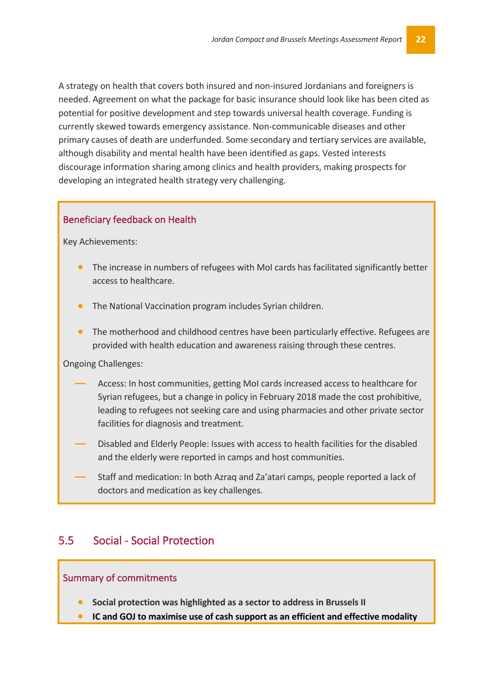A strategy on health that covers both insured and non-insured Jordanians and foreigners is needed. Agreement on what the package for basic insurance should look like has been cited as potential for positive development and step towards universal health coverage. Funding is currently skewed towards emergency assistance. Non-communicable diseases and other primary causes of death are underfunded. Some secondary and tertiary services are available, although disability and mental health have been identified as gaps. Vested interests discourage information sharing among clinics and health providers, making prospects for developing an integrated health strategy very challenging.

#### Beneficiary feedback on Health

Key Achievements:

- The increase in numbers of refugees with MoI cards has facilitated significantly better access to healthcare.
- The National Vaccination program includes Syrian children.
- The motherhood and childhood centres have been particularly effective. Refugees are provided with health education and awareness raising through these centres.

Ongoing Challenges:

- **―** Access: In host communities, getting MoI cards increased access to healthcare for Syrian refugees, but a change in policy in February 2018 made the cost prohibitive, leading to refugees not seeking care and using pharmacies and other private sector facilities for diagnosis and treatment.
- **―** Disabled and Elderly People: Issues with access to health facilities for the disabled and the elderly were reported in camps and host communities.
- **―** Staff and medication: In both Azraq and Za'atari camps, people reported a lack of doctors and medication as key challenges.

#### 5.5 Social - Social Protection

#### Summary of commitments

- **Social protection was highlighted as a sector to address in Brussels II**
- **IC and GOJ to maximise use of cash support as an efficient and effective modality**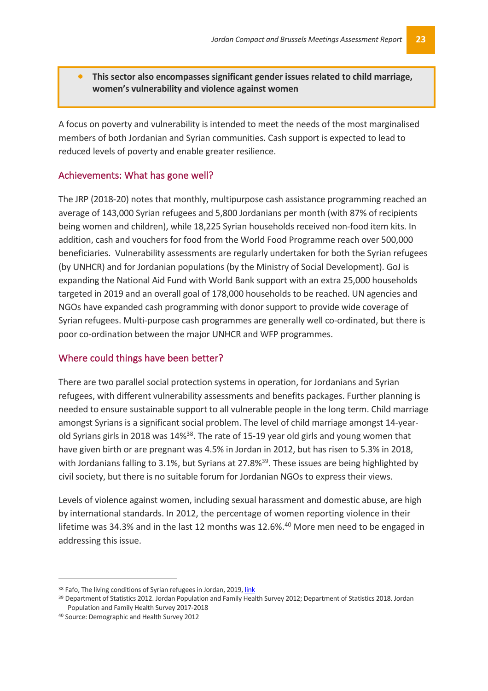• **This sector also encompasses significant gender issues related to child marriage, women's vulnerability and violence against women** 

A focus on poverty and vulnerability is intended to meet the needs of the most marginalised members of both Jordanian and Syrian communities. Cash support is expected to lead to reduced levels of poverty and enable greater resilience.

#### Achievements: What has gone well?

The JRP (2018-20) notes that monthly, multipurpose cash assistance programming reached an average of 143,000 Syrian refugees and 5,800 Jordanians per month (with 87% of recipients being women and children), while 18,225 Syrian households received non-food item kits. In addition, cash and vouchers for food from the World Food Programme reach over 500,000 beneficiaries. Vulnerability assessments are regularly undertaken for both the Syrian refugees (by UNHCR) and for Jordanian populations (by the Ministry of Social Development). GoJ is expanding the National Aid Fund with World Bank support with an extra 25,000 households targeted in 2019 and an overall goal of 178,000 households to be reached. UN agencies and NGOs have expanded cash programming with donor support to provide wide coverage of Syrian refugees. Multi-purpose cash programmes are generally well co-ordinated, but there is poor co-ordination between the major UNHCR and WFP programmes.

#### Where could things have been better?

There are two parallel social protection systems in operation, for Jordanians and Syrian refugees, with different vulnerability assessments and benefits packages. Further planning is needed to ensure sustainable support to all vulnerable people in the long term. Child marriage amongst Syrians is a significant social problem. The level of child marriage amongst 14-yearold Syrians girls in 2018 was 14%<sup>38</sup>. The rate of 15-19 year old girls and young women that have given birth or are pregnant was 4.5% in Jordan in 2012, but has risen to 5.3% in 2018, with Jordanians falling to 3.1%, but Syrians at 27.8%<sup>39</sup>. These issues are being highlighted by civil society, but there is no suitable forum for Jordanian NGOs to express their views.

Levels of violence against women, including sexual harassment and domestic abuse, are high by international standards. In 2012, the percentage of women reporting violence in their lifetime was 34.3% and in the last 12 months was 12.6%.<sup>40</sup> More men need to be engaged in addressing this issue.

<sup>38</sup> Fafo, The living conditions of Syrian refugees in Jordan, 2019, link

<sup>39</sup> Department of Statistics 2012. Jordan Population and Family Health Survey 2012; Department of Statistics 2018. Jordan Population and Family Health Survey 2017-2018

<sup>40</sup> Source: Demographic and Health Survey 2012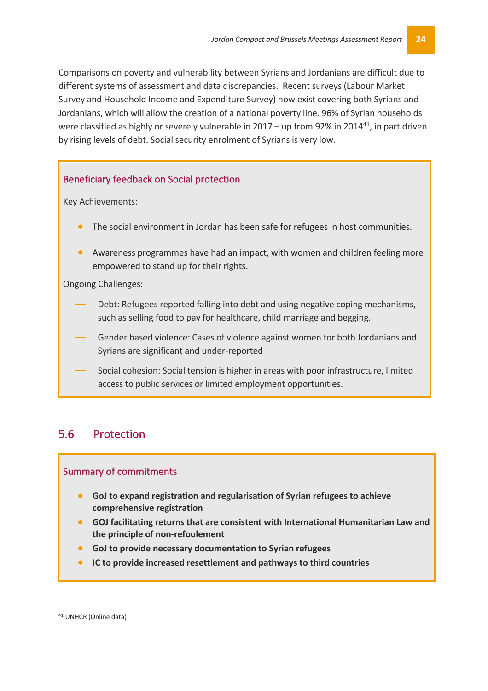Comparisons on poverty and vulnerability between Syrians and Jordanians are difficult due to different systems of assessment and data discrepancies. Recent surveys (Labour Market Survey and Household Income and Expenditure Survey) now exist covering both Syrians and Jordanians, which will allow the creation of a national poverty line. 96% of Syrian households were classified as highly or severely vulnerable in 2017 - up from 92% in 2014<sup>41</sup>, in part driven by rising levels of debt. Social security enrolment of Syrians is very low.

#### Beneficiary feedback on Social protection

Key Achievements:

- The social environment in Jordan has been safe for refugees in host communities.
- Awareness programmes have had an impact, with women and children feeling more empowered to stand up for their rights.

Ongoing Challenges:

- **―** Debt: Refugees reported falling into debt and using negative coping mechanisms, such as selling food to pay for healthcare, child marriage and begging.
- **―** Gender based violence: Cases of violence against women for both Jordanians and Syrians are significant and under-reported
- **―** Social cohesion: Social tension is higher in areas with poor infrastructure, limited access to public services or limited employment opportunities.

#### 5.6 Protection

#### Summary of commitments

- **GoJ to expand registration and regularisation of Syrian refugees to achieve comprehensive registration**
- **GOJ facilitating returns that are consistent with International Humanitarian Law and the principle of non-refoulement**
- **GoJ to provide necessary documentation to Syrian refugees**
- **IC to provide increased resettlement and pathways to third countries**

 <sup>41</sup> UNHCR (Online data)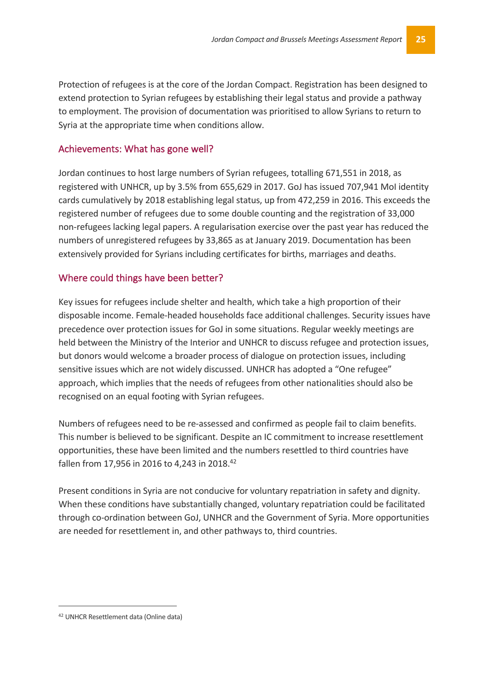Protection of refugees is at the core of the Jordan Compact. Registration has been designed to extend protection to Syrian refugees by establishing their legal status and provide a pathway to employment. The provision of documentation was prioritised to allow Syrians to return to Syria at the appropriate time when conditions allow.

#### Achievements: What has gone well?

Jordan continues to host large numbers of Syrian refugees, totalling 671,551 in 2018, as registered with UNHCR, up by 3.5% from 655,629 in 2017. GoJ has issued 707,941 MoI identity cards cumulatively by 2018 establishing legal status, up from 472,259 in 2016. This exceeds the registered number of refugees due to some double counting and the registration of 33,000 non-refugees lacking legal papers. A regularisation exercise over the past year has reduced the numbers of unregistered refugees by 33,865 as at January 2019. Documentation has been extensively provided for Syrians including certificates for births, marriages and deaths.

#### Where could things have been better?

Key issues for refugees include shelter and health, which take a high proportion of their disposable income. Female-headed households face additional challenges. Security issues have precedence over protection issues for GoJ in some situations. Regular weekly meetings are held between the Ministry of the Interior and UNHCR to discuss refugee and protection issues, but donors would welcome a broader process of dialogue on protection issues, including sensitive issues which are not widely discussed. UNHCR has adopted a "One refugee" approach, which implies that the needs of refugees from other nationalities should also be recognised on an equal footing with Syrian refugees.

Numbers of refugees need to be re-assessed and confirmed as people fail to claim benefits. This number is believed to be significant. Despite an IC commitment to increase resettlement opportunities, these have been limited and the numbers resettled to third countries have fallen from 17,956 in 2016 to 4,243 in 2018.<sup>42</sup>

Present conditions in Syria are not conducive for voluntary repatriation in safety and dignity. When these conditions have substantially changed, voluntary repatriation could be facilitated through co-ordination between GoJ, UNHCR and the Government of Syria. More opportunities are needed for resettlement in, and other pathways to, third countries.

 <sup>42</sup> UNHCR Resettlement data (Online data)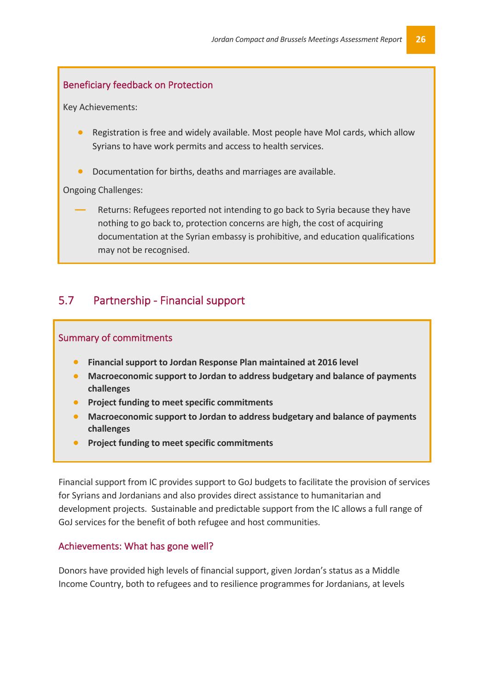#### Beneficiary feedback on Protection

Key Achievements:

- Registration is free and widely available. Most people have MoI cards, which allow Syrians to have work permits and access to health services.
- Documentation for births, deaths and marriages are available.

Ongoing Challenges:

**―** Returns: Refugees reported not intending to go back to Syria because they have nothing to go back to, protection concerns are high, the cost of acquiring documentation at the Syrian embassy is prohibitive, and education qualifications may not be recognised.

#### 5.7 Partnership - Financial support

#### Summary of commitments

- **Financial support to Jordan Response Plan maintained at 2016 level**
- **Macroeconomic support to Jordan to address budgetary and balance of payments challenges**
- **Project funding to meet specific commitments**
- **Macroeconomic support to Jordan to address budgetary and balance of payments challenges**
- **Project funding to meet specific commitments**

Financial support from IC provides support to GoJ budgets to facilitate the provision of services for Syrians and Jordanians and also provides direct assistance to humanitarian and development projects. Sustainable and predictable support from the IC allows a full range of GoJ services for the benefit of both refugee and host communities.

#### Achievements: What has gone well?

Donors have provided high levels of financial support, given Jordan's status as a Middle Income Country, both to refugees and to resilience programmes for Jordanians, at levels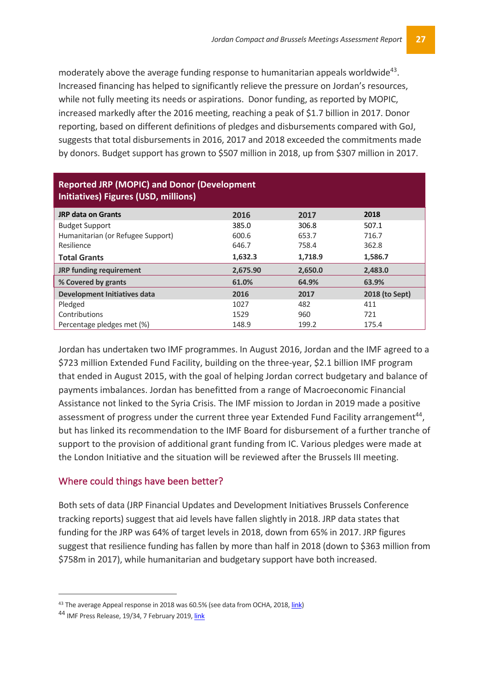moderately above the average funding response to humanitarian appeals worldwide<sup>43</sup>. Increased financing has helped to significantly relieve the pressure on Jordan's resources, while not fully meeting its needs or aspirations. Donor funding, as reported by MOPIC, increased markedly after the 2016 meeting, reaching a peak of \$1.7 billion in 2017. Donor reporting, based on different definitions of pledges and disbursements compared with GoJ, suggests that total disbursements in 2016, 2017 and 2018 exceeded the commitments made by donors. Budget support has grown to \$507 million in 2018, up from \$307 million in 2017.

| <b>Reported JRP (MOPIC) and Donor (Development</b><br>Initiatives) Figures (USD, millions) |          |         |                |  |  |
|--------------------------------------------------------------------------------------------|----------|---------|----------------|--|--|
| <b>JRP data on Grants</b>                                                                  | 2016     | 2017    | 2018           |  |  |
| <b>Budget Support</b>                                                                      | 385.0    | 306.8   | 507.1          |  |  |
| Humanitarian (or Refugee Support)                                                          | 600.6    | 653.7   | 716.7          |  |  |
| Resilience                                                                                 | 646.7    | 758.4   | 362.8          |  |  |
| <b>Total Grants</b>                                                                        | 1,632.3  | 1,718.9 | 1,586.7        |  |  |
| <b>JRP funding requirement</b>                                                             | 2,675.90 | 2,650.0 | 2,483.0        |  |  |
| % Covered by grants                                                                        | 61.0%    | 64.9%   | 63.9%          |  |  |
| <b>Development Initiatives data</b>                                                        | 2016     | 2017    | 2018 (to Sept) |  |  |
| Pledged                                                                                    | 1027     | 482     | 411            |  |  |
| Contributions                                                                              | 1529     | 960     | 721            |  |  |
| Percentage pledges met (%)                                                                 | 148.9    | 199.2   | 175.4          |  |  |

Jordan has undertaken two IMF programmes. In August 2016, Jordan and the IMF agreed to a \$723 million Extended Fund Facility, building on the three-year, \$2.1 billion IMF program that ended in August 2015, with the goal of helping Jordan correct budgetary and balance of payments imbalances. Jordan has benefitted from a range of Macroeconomic Financial Assistance not linked to the Syria Crisis. The IMF mission to Jordan in 2019 made a positive assessment of progress under the current three year Extended Fund Facility arrangement<sup>44</sup>, but has linked its recommendation to the IMF Board for disbursement of a further tranche of support to the provision of additional grant funding from IC. Various pledges were made at the London Initiative and the situation will be reviewed after the Brussels III meeting.

#### Where could things have been better?

Both sets of data (JRP Financial Updates and Development Initiatives Brussels Conference tracking reports) suggest that aid levels have fallen slightly in 2018. JRP data states that funding for the JRP was 64% of target levels in 2018, down from 65% in 2017. JRP figures suggest that resilience funding has fallen by more than half in 2018 (down to \$363 million from \$758m in 2017), while humanitarian and budgetary support have both increased.

<sup>&</sup>lt;sup>43</sup> The average Appeal response in 2018 was 60.5% (see data from OCHA, 2018, link)

<sup>44</sup> IMF Press Release, 19/34, 7 February 2019, link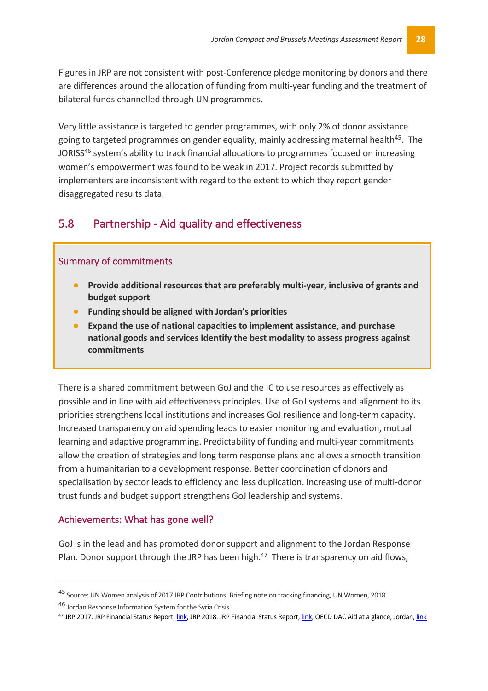Figures in JRP are not consistent with post-Conference pledge monitoring by donors and there are differences around the allocation of funding from multi-year funding and the treatment of bilateral funds channelled through UN programmes.

Very little assistance is targeted to gender programmes, with only 2% of donor assistance going to targeted programmes on gender equality, mainly addressing maternal health<sup>45</sup>. The JORISS<sup>46</sup> system's ability to track financial allocations to programmes focused on increasing women's empowerment was found to be weak in 2017. Project records submitted by implementers are inconsistent with regard to the extent to which they report gender disaggregated results data.

#### 5.8 Partnership - Aid quality and effectiveness

#### Summary of commitments

- **Provide additional resources that are preferably multi-year, inclusive of grants and budget support**
- **Funding should be aligned with Jordan's priorities**
- **Expand the use of national capacities to implement assistance, and purchase national goods and services Identify the best modality to assess progress against commitments**

There is a shared commitment between GoJ and the IC to use resources as effectively as possible and in line with aid effectiveness principles. Use of GoJ systems and alignment to its priorities strengthens local institutions and increases GoJ resilience and long-term capacity. Increased transparency on aid spending leads to easier monitoring and evaluation, mutual learning and adaptive programming. Predictability of funding and multi-year commitments allow the creation of strategies and long term response plans and allows a smooth transition from a humanitarian to a development response. Better coordination of donors and specialisation by sector leads to efficiency and less duplication. Increasing use of multi-donor trust funds and budget support strengthens GoJ leadership and systems.

#### Achievements: What has gone well?

 $\overline{a}$ 

GoJ is in the lead and has promoted donor support and alignment to the Jordan Response Plan. Donor support through the JRP has been high. $47$  There is transparency on aid flows,

<sup>45</sup> Source: UN Women analysis of 2017 JRP Contributions: Briefing note on tracking financing, UN Women, 2018

<sup>46</sup> Jordan Response Information System for the Syria Crisis

<sup>&</sup>lt;sup>47</sup> JRP 2017. JRP Financial Status Report, link, JRP 2018. JRP Financial Status Report, link, OECD DAC Aid at a glance, Jordan, link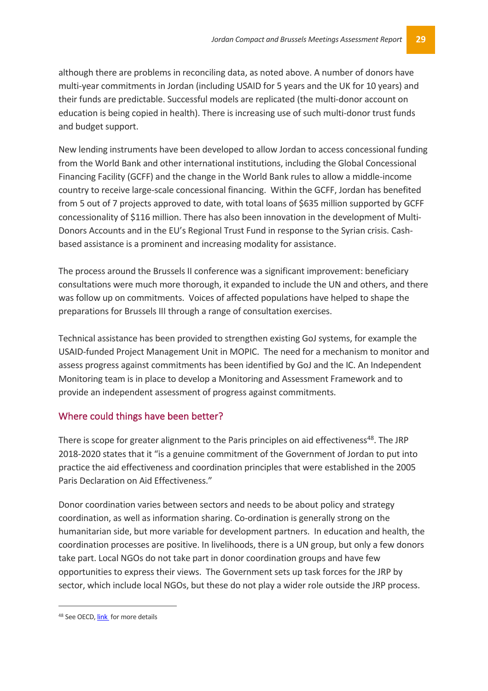although there are problems in reconciling data, as noted above. A number of donors have multi-year commitments in Jordan (including USAID for 5 years and the UK for 10 years) and their funds are predictable. Successful models are replicated (the multi-donor account on education is being copied in health). There is increasing use of such multi-donor trust funds and budget support.

New lending instruments have been developed to allow Jordan to access concessional funding from the World Bank and other international institutions, including the Global Concessional Financing Facility (GCFF) and the change in the World Bank rules to allow a middle-income country to receive large-scale concessional financing. Within the GCFF, Jordan has benefited from 5 out of 7 projects approved to date, with total loans of \$635 million supported by GCFF concessionality of \$116 million. There has also been innovation in the development of Multi-Donors Accounts and in the EU's Regional Trust Fund in response to the Syrian crisis. Cashbased assistance is a prominent and increasing modality for assistance.

The process around the Brussels II conference was a significant improvement: beneficiary consultations were much more thorough, it expanded to include the UN and others, and there was follow up on commitments. Voices of affected populations have helped to shape the preparations for Brussels III through a range of consultation exercises.

Technical assistance has been provided to strengthen existing GoJ systems, for example the USAID-funded Project Management Unit in MOPIC. The need for a mechanism to monitor and assess progress against commitments has been identified by GoJ and the IC. An Independent Monitoring team is in place to develop a Monitoring and Assessment Framework and to provide an independent assessment of progress against commitments.

#### Where could things have been better?

There is scope for greater alignment to the Paris principles on aid effectiveness<sup>48</sup>. The JRP 2018-2020 states that it "is a genuine commitment of the Government of Jordan to put into practice the aid effectiveness and coordination principles that were established in the 2005 Paris Declaration on Aid Effectiveness."

Donor coordination varies between sectors and needs to be about policy and strategy coordination, as well as information sharing. Co-ordination is generally strong on the humanitarian side, but more variable for development partners. In education and health, the coordination processes are positive. In livelihoods, there is a UN group, but only a few donors take part. Local NGOs do not take part in donor coordination groups and have few opportunities to express their views. The Government sets up task forces for the JRP by sector, which include local NGOs, but these do not play a wider role outside the JRP process.

<sup>48</sup> See OECD, link for more details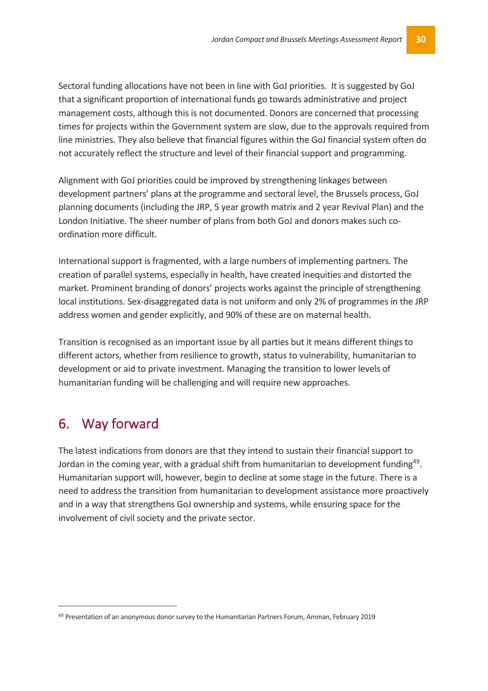Sectoral funding allocations have not been in line with GoJ priorities. It is suggested by GoJ that a significant proportion of international funds go towards administrative and project management costs, although this is not documented. Donors are concerned that processing times for projects within the Government system are slow, due to the approvals required from line ministries. They also believe that financial figures within the GoJ financial system often do not accurately reflect the structure and level of their financial support and programming.

Alignment with GoJ priorities could be improved by strengthening linkages between development partners' plans at the programme and sectoral level, the Brussels process, GoJ planning documents (including the JRP, 5 year growth matrix and 2 year Revival Plan) and the London Initiative. The sheer number of plans from both GoJ and donors makes such coordination more difficult.

International support is fragmented, with a large numbers of implementing partners. The creation of parallel systems, especially in health, have created inequities and distorted the market. Prominent branding of donors' projects works against the principle of strengthening local institutions. Sex-disaggregated data is not uniform and only 2% of programmes in the JRP address women and gender explicitly, and 90% of these are on maternal health.

Transition is recognised as an important issue by all parties but it means different things to different actors, whether from resilience to growth, status to vulnerability, humanitarian to development or aid to private investment. Managing the transition to lower levels of humanitarian funding will be challenging and will require new approaches.

## 6. Way forward

The latest indications from donors are that they intend to sustain their financial support to Jordan in the coming year, with a gradual shift from humanitarian to development funding<sup>49</sup>. Humanitarian support will, however, begin to decline at some stage in the future. There is a need to address the transition from humanitarian to development assistance more proactively and in a way that strengthens GoJ ownership and systems, while ensuring space for the involvement of civil society and the private sector.

 <sup>49</sup> Presentation of an anonymous donor survey to the Humanitarian Partners Forum, Amman, February 2019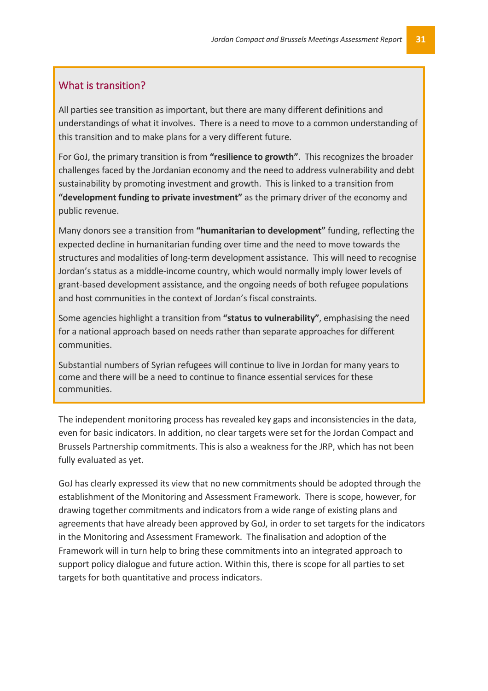#### What is transition?

All parties see transition as important, but there are many different definitions and understandings of what it involves. There is a need to move to a common understanding of this transition and to make plans for a very different future.

For GoJ, the primary transition is from **"resilience to growth"**. This recognizes the broader challenges faced by the Jordanian economy and the need to address vulnerability and debt sustainability by promoting investment and growth. This is linked to a transition from **"development funding to private investment"** as the primary driver of the economy and public revenue.

Many donors see a transition from **"humanitarian to development"** funding, reflecting the expected decline in humanitarian funding over time and the need to move towards the structures and modalities of long-term development assistance. This will need to recognise Jordan's status as a middle-income country, which would normally imply lower levels of grant-based development assistance, and the ongoing needs of both refugee populations and host communities in the context of Jordan's fiscal constraints.

Some agencies highlight a transition from **"status to vulnerability"**, emphasising the need for a national approach based on needs rather than separate approaches for different communities.

Substantial numbers of Syrian refugees will continue to live in Jordan for many years to come and there will be a need to continue to finance essential services for these communities.

The independent monitoring process has revealed key gaps and inconsistencies in the data, even for basic indicators. In addition, no clear targets were set for the Jordan Compact and Brussels Partnership commitments. This is also a weakness for the JRP, which has not been fully evaluated as yet.

GoJ has clearly expressed its view that no new commitments should be adopted through the establishment of the Monitoring and Assessment Framework. There is scope, however, for drawing together commitments and indicators from a wide range of existing plans and agreements that have already been approved by GoJ, in order to set targets for the indicators in the Monitoring and Assessment Framework. The finalisation and adoption of the Framework will in turn help to bring these commitments into an integrated approach to support policy dialogue and future action. Within this, there is scope for all parties to set targets for both quantitative and process indicators.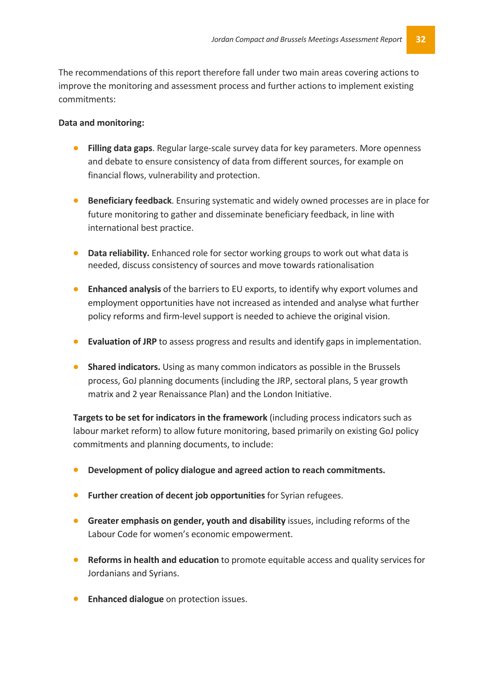The recommendations of this report therefore fall under two main areas covering actions to improve the monitoring and assessment process and further actions to implement existing commitments:

#### **Data and monitoring:**

- **Filling data gaps**. Regular large-scale survey data for key parameters. More openness and debate to ensure consistency of data from different sources, for example on financial flows, vulnerability and protection.
- **Beneficiary feedback**. Ensuring systematic and widely owned processes are in place for future monitoring to gather and disseminate beneficiary feedback, in line with international best practice.
- **Data reliability.** Enhanced role for sector working groups to work out what data is needed, discuss consistency of sources and move towards rationalisation
- **Enhanced analysis** of the barriers to EU exports, to identify why export volumes and employment opportunities have not increased as intended and analyse what further policy reforms and firm-level support is needed to achieve the original vision.
- **Evaluation of JRP** to assess progress and results and identify gaps in implementation.
- **Shared indicators.** Using as many common indicators as possible in the Brussels process, GoJ planning documents (including the JRP, sectoral plans, 5 year growth matrix and 2 year Renaissance Plan) and the London Initiative.

**Targets to be set for indicators in the framework** (including process indicators such as labour market reform) to allow future monitoring, based primarily on existing GoJ policy commitments and planning documents, to include:

- **Development of policy dialogue and agreed action to reach commitments.**
- **Further creation of decent job opportunities** for Syrian refugees.
- **Greater emphasis on gender, youth and disability** issues, including reforms of the Labour Code for women's economic empowerment.
- **Reforms in health and education** to promote equitable access and quality services for Jordanians and Syrians.
- **Enhanced dialogue** on protection issues.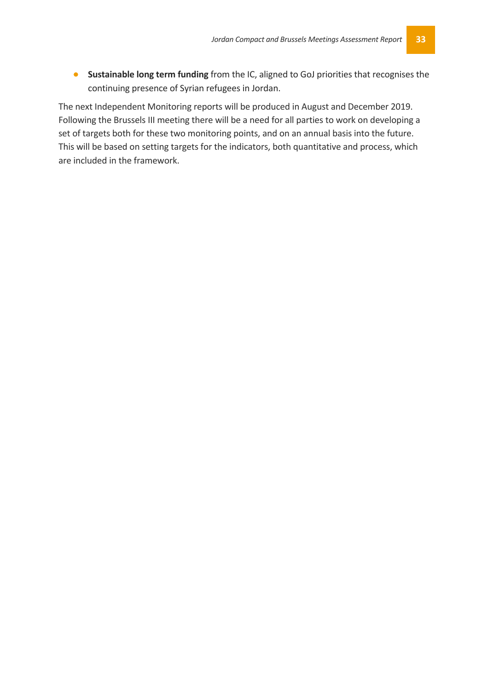• **Sustainable long term funding** from the IC, aligned to GoJ priorities that recognises the continuing presence of Syrian refugees in Jordan.

The next Independent Monitoring reports will be produced in August and December 2019. Following the Brussels III meeting there will be a need for all parties to work on developing a set of targets both for these two monitoring points, and on an annual basis into the future. This will be based on setting targets for the indicators, both quantitative and process, which are included in the framework.